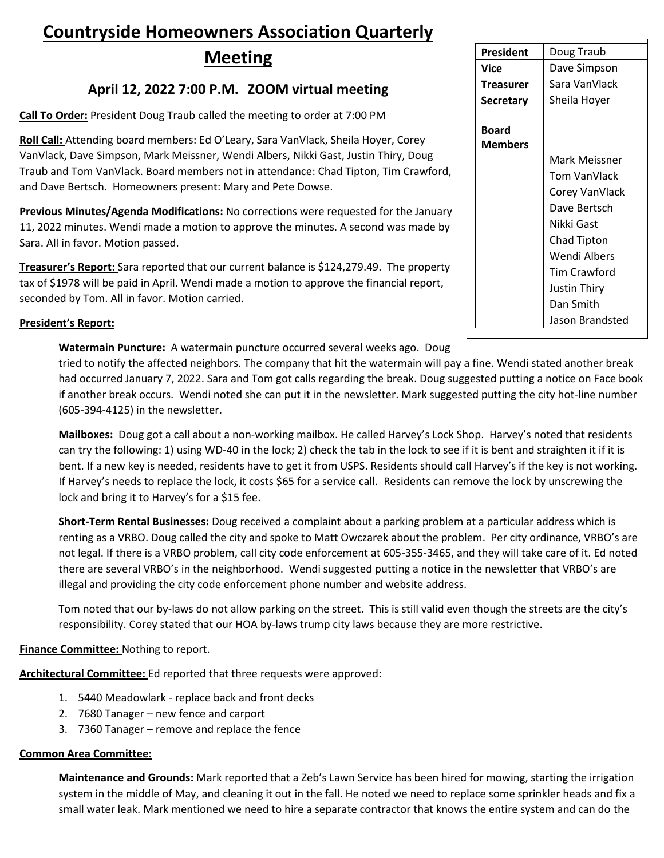# **Countryside Homeowners Association Quarterly**

**Meeting**

## **April 12, 2022 7:00 P.M. ZOOM virtual meeting**

**Call To Order:** President Doug Traub called the meeting to order at 7:00 PM

**Roll Call:** Attending board members: Ed O'Leary, Sara VanVlack, Sheila Hoyer, Corey VanVlack, Dave Simpson, Mark Meissner, Wendi Albers, Nikki Gast, Justin Thiry, Doug Traub and Tom VanVlack. Board members not in attendance: Chad Tipton, Tim Crawford, and Dave Bertsch. Homeowners present: Mary and Pete Dowse.

**Previous Minutes/Agenda Modifications:** No corrections were requested for the January 11, 2022 minutes. Wendi made a motion to approve the minutes. A second was made by Sara. All in favor. Motion passed.

**Treasurer's Report:** Sara reported that our current balance is \$124,279.49. The property tax of \$1978 will be paid in April. Wendi made a motion to approve the financial report, seconded by Tom. All in favor. Motion carried.

## **President's Report:**

**Watermain Puncture:** A watermain puncture occurred several weeks ago. Doug

tried to notify the affected neighbors. The company that hit the watermain will pay a fine. Wendi stated another break had occurred January 7, 2022. Sara and Tom got calls regarding the break. Doug suggested putting a notice on Face book if another break occurs. Wendi noted she can put it in the newsletter. Mark suggested putting the city hot-line number (605-394-4125) in the newsletter.

**Mailboxes:** Doug got a call about a non-working mailbox. He called Harvey's Lock Shop. Harvey's noted that residents can try the following: 1) using WD-40 in the lock; 2) check the tab in the lock to see if it is bent and straighten it if it is bent. If a new key is needed, residents have to get it from USPS. Residents should call Harvey's if the key is not working. If Harvey's needs to replace the lock, it costs \$65 for a service call. Residents can remove the lock by unscrewing the lock and bring it to Harvey's for a \$15 fee.

**Short-Term Rental Businesses:** Doug received a complaint about a parking problem at a particular address which is renting as a VRBO. Doug called the city and spoke to Matt Owczarek about the problem. Per city ordinance, VRBO's are not legal. If there is a VRBO problem, call city code enforcement at 605-355-3465, and they will take care of it. Ed noted there are several VRBO's in the neighborhood. Wendi suggested putting a notice in the newsletter that VRBO's are illegal and providing the city code enforcement phone number and website address.

Tom noted that our by-laws do not allow parking on the street. This is still valid even though the streets are the city's responsibility. Corey stated that our HOA by-laws trump city laws because they are more restrictive.

## **Finance Committee:** Nothing to report.

**Architectural Committee:** Ed reported that three requests were approved:

- 1. 5440 Meadowlark replace back and front decks
- 2. 7680 Tanager new fence and carport
- 3. 7360 Tanager remove and replace the fence

## **Common Area Committee:**

**Maintenance and Grounds:** Mark reported that a Zeb's Lawn Service has been hired for mowing, starting the irrigation system in the middle of May, and cleaning it out in the fall. He noted we need to replace some sprinkler heads and fix a small water leak. Mark mentioned we need to hire a separate contractor that knows the entire system and can do the

| President      | Doug Traub      |
|----------------|-----------------|
| Vice           | Dave Simpson    |
| Treasurer      | Sara VanVlack   |
| Secretary      | Sheila Hoyer    |
|                |                 |
| Board          |                 |
| <b>Members</b> |                 |
|                | Mark Meissner   |
|                | Tom VanVlack    |
|                | Corey VanVlack  |
|                | Dave Bertsch    |
|                | Nikki Gast      |
|                | Chad Tipton     |
|                | Wendi Albers    |
|                | Tim Crawford    |
|                | Justin Thiry    |
|                | Dan Smith       |
|                | Jason Brandsted |
|                |                 |
|                |                 |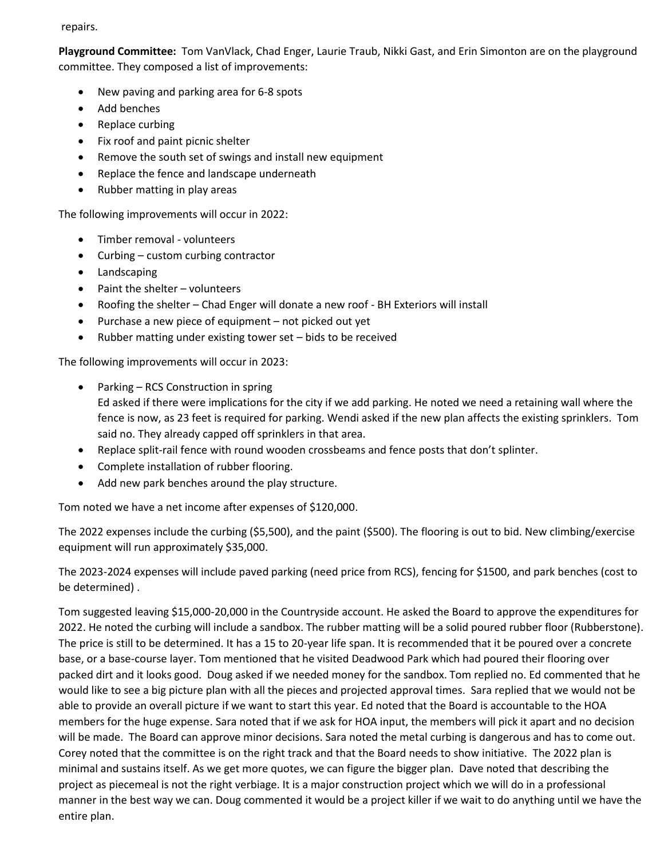#### repairs.

**Playground Committee:** Tom VanVlack, Chad Enger, Laurie Traub, Nikki Gast, and Erin Simonton are on the playground committee. They composed a list of improvements:

- New paving and parking area for 6-8 spots
- Add benches
- Replace curbing
- Fix roof and paint picnic shelter
- Remove the south set of swings and install new equipment
- Replace the fence and landscape underneath
- Rubber matting in play areas

The following improvements will occur in 2022:

- Timber removal volunteers
- Curbing custom curbing contractor
- Landscaping
- Paint the shelter volunteers
- Roofing the shelter Chad Enger will donate a new roof BH Exteriors will install
- Purchase a new piece of equipment not picked out yet
- Rubber matting under existing tower set bids to be received

The following improvements will occur in 2023:

- Parking RCS Construction in spring Ed asked if there were implications for the city if we add parking. He noted we need a retaining wall where the fence is now, as 23 feet is required for parking. Wendi asked if the new plan affects the existing sprinklers. Tom said no. They already capped off sprinklers in that area.
- Replace split-rail fence with round wooden crossbeams and fence posts that don't splinter.
- Complete installation of rubber flooring.
- Add new park benches around the play structure.

Tom noted we have a net income after expenses of \$120,000.

The 2022 expenses include the curbing (\$5,500), and the paint (\$500). The flooring is out to bid. New climbing/exercise equipment will run approximately \$35,000.

The 2023-2024 expenses will include paved parking (need price from RCS), fencing for \$1500, and park benches (cost to be determined) .

Tom suggested leaving \$15,000-20,000 in the Countryside account. He asked the Board to approve the expenditures for 2022. He noted the curbing will include a sandbox. The rubber matting will be a solid poured rubber floor (Rubberstone). The price is still to be determined. It has a 15 to 20-year life span. It is recommended that it be poured over a concrete base, or a base-course layer. Tom mentioned that he visited Deadwood Park which had poured their flooring over packed dirt and it looks good. Doug asked if we needed money for the sandbox. Tom replied no. Ed commented that he would like to see a big picture plan with all the pieces and projected approval times. Sara replied that we would not be able to provide an overall picture if we want to start this year. Ed noted that the Board is accountable to the HOA members for the huge expense. Sara noted that if we ask for HOA input, the members will pick it apart and no decision will be made. The Board can approve minor decisions. Sara noted the metal curbing is dangerous and has to come out. Corey noted that the committee is on the right track and that the Board needs to show initiative. The 2022 plan is minimal and sustains itself. As we get more quotes, we can figure the bigger plan. Dave noted that describing the project as piecemeal is not the right verbiage. It is a major construction project which we will do in a professional manner in the best way we can. Doug commented it would be a project killer if we wait to do anything until we have the entire plan.